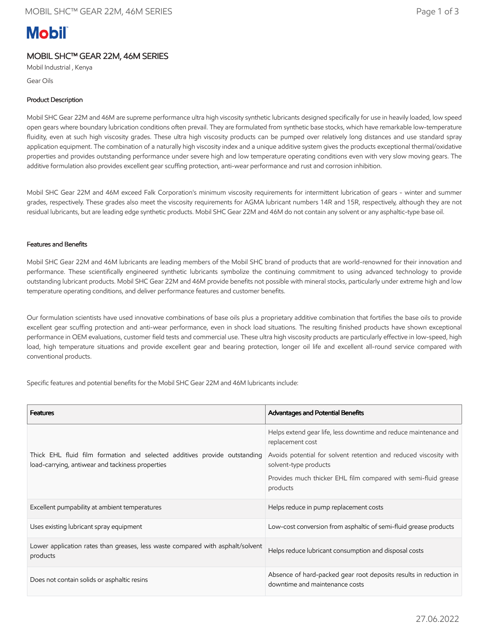# **Mobil**

## MOBIL SHC™ GEAR 22M, 46M SERIES

Mobil Industrial , Kenya

Gear Oils

## Product Description

Mobil SHC Gear 22M and 46M are supreme performance ultra high viscosity synthetic lubricants designed specifically for use in heavily loaded, low speed open gears where boundary lubrication conditions often prevail. They are formulated from synthetic base stocks, which have remarkable low-temperature fluidity, even at such high viscosity grades. These ultra high viscosity products can be pumped over relatively long distances and use standard spray application equipment. The combination of a naturally high viscosity index and a unique additive system gives the products exceptional thermal/oxidative properties and provides outstanding performance under severe high and low temperature operating conditions even with very slow moving gears. The additive formulation also provides excellent gear scuffing protection, anti-wear performance and rust and corrosion inhibition.

Mobil SHC Gear 22M and 46M exceed Falk Corporation's minimum viscosity requirements for intermittent lubrication of gears - winter and summer grades, respectively. These grades also meet the viscosity requirements for AGMA lubricant numbers 14R and 15R, respectively, although they are not residual lubricants, but are leading edge synthetic products. Mobil SHC Gear 22M and 46M do not contain any solvent or any asphaltic-type base oil.

## Features and Benefits

Mobil SHC Gear 22M and 46M lubricants are leading members of the Mobil SHC brand of products that are world-renowned for their innovation and performance. These scientifically engineered synthetic lubricants symbolize the continuing commitment to using advanced technology to provide outstanding lubricant products. Mobil SHC Gear 22M and 46M provide benefits not possible with mineral stocks, particularly under extreme high and low temperature operating conditions, and deliver performance features and customer benefits.

Our formulation scientists have used innovative combinations of base oils plus a proprietary additive combination that fortifies the base oils to provide excellent gear scuffing protection and anti-wear performance, even in shock load situations. The resulting finished products have shown exceptional performance in OEM evaluations, customer field tests and commercial use. These ultra high viscosity products are particularly effective in low-speed, high load, high temperature situations and provide excellent gear and bearing protection, longer oil life and excellent all-round service compared with conventional products.

Specific features and potential benefits for the Mobil SHC Gear 22M and 46M lubricants include:

| <b>Features</b>                                                                                                               | <b>Advantages and Potential Benefits</b>                                                            |
|-------------------------------------------------------------------------------------------------------------------------------|-----------------------------------------------------------------------------------------------------|
|                                                                                                                               | Helps extend gear life, less downtime and reduce maintenance and<br>replacement cost                |
| Thick EHL fluid film formation and selected additives provide outstanding<br>load-carrying, antiwear and tackiness properties | Avoids potential for solvent retention and reduced viscosity with<br>solvent-type products          |
|                                                                                                                               | Provides much thicker EHL film compared with semi-fluid grease<br>products                          |
| Excellent pumpability at ambient temperatures                                                                                 | Helps reduce in pump replacement costs                                                              |
| Uses existing lubricant spray equipment                                                                                       | Low-cost conversion from asphaltic of semi-fluid grease products                                    |
| Lower application rates than greases, less waste compared with asphalt/solvent<br>products                                    | Helps reduce lubricant consumption and disposal costs                                               |
| Does not contain solids or asphaltic resins                                                                                   | Absence of hard-packed gear root deposits results in reduction in<br>downtime and maintenance costs |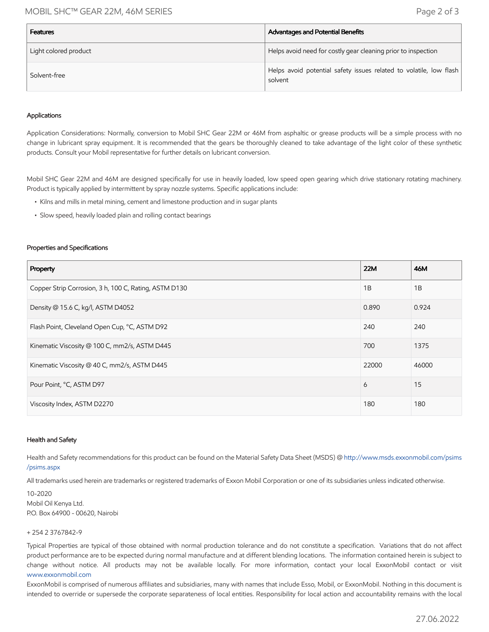## MOBIL SHC™ GEAR 22M, 46M SERIES Page 2 of 3

| <b>Features</b>       | Advantages and Potential Benefits                                             |
|-----------------------|-------------------------------------------------------------------------------|
| Light colored product | Helps avoid need for costly gear cleaning prior to inspection                 |
| Solvent-free          | Helps avoid potential safety issues related to volatile, low flash<br>solvent |

### Applications

Application Considerations: Normally, conversion to Mobil SHC Gear 22M or 46M from asphaltic or grease products will be a simple process with no change in lubricant spray equipment. It is recommended that the gears be thoroughly cleaned to take advantage of the light color of these synthetic products. Consult your Mobil representative for further details on lubricant conversion.

Mobil SHC Gear 22M and 46M are designed specifically for use in heavily loaded, low speed open gearing which drive stationary rotating machinery. Product is typically applied by intermittent by spray nozzle systems. Specific applications include:

- Kilns and mills in metal mining, cement and limestone production and in sugar plants
- Slow speed, heavily loaded plain and rolling contact bearings

#### Properties and Specifications

| Property                                              | 22M   | 46M   |
|-------------------------------------------------------|-------|-------|
| Copper Strip Corrosion, 3 h, 100 C, Rating, ASTM D130 | 1B    | 1B    |
| Density @ 15.6 C, kg/l, ASTM D4052                    | 0.890 | 0.924 |
| Flash Point, Cleveland Open Cup, °C, ASTM D92         | 240   | 240   |
| Kinematic Viscosity @ 100 C, mm2/s, ASTM D445         | 700   | 1375  |
| Kinematic Viscosity @ 40 C, mm2/s, ASTM D445          | 22000 | 46000 |
| Pour Point, °C, ASTM D97                              | 6     | 15    |
| Viscosity Index, ASTM D2270                           | 180   | 180   |

#### Health and Safety

Health and Safety recommendations for this product can be found on the Material Safety Data Sheet (MSDS) @ [http://www.msds.exxonmobil.com/psims](http://www.msds.exxonmobil.com/psims/psims.aspx) /psims.aspx

All trademarks used herein are trademarks or registered trademarks of Exxon Mobil Corporation or one of its subsidiaries unless indicated otherwise.

10-2020 Mobil Oil Kenya Ltd. P.O. Box 64900 - 00620, Nairobi

#### + 254 2 3767842-9

Typical Properties are typical of those obtained with normal production tolerance and do not constitute a specification. Variations that do not affect product performance are to be expected during normal manufacture and at different blending locations. The information contained herein is subject to change without notice. All products may not be available locally. For more information, contact your local ExxonMobil contact or visit [www.exxonmobil.com](http://www.exxonmobil.com/)

ExxonMobil is comprised of numerous affiliates and subsidiaries, many with names that include Esso, Mobil, or ExxonMobil. Nothing in this document is intended to override or supersede the corporate separateness of local entities. Responsibility for local action and accountability remains with the local